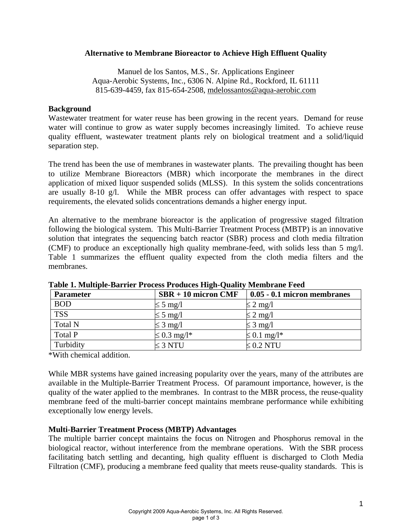# **Alternative to Membrane Bioreactor to Achieve High Effluent Quality**

Manuel de los Santos, M.S., Sr. Applications Engineer Aqua-Aerobic Systems, Inc., 6306 N. Alpine Rd., Rockford, IL 61111 815-639-4459, fax 815-654-2508, mdelossantos@aqua-aerobic.com

# **Background**

Wastewater treatment for water reuse has been growing in the recent years. Demand for reuse water will continue to grow as water supply becomes increasingly limited. To achieve reuse quality effluent, wastewater treatment plants rely on biological treatment and a solid/liquid separation step.

The trend has been the use of membranes in wastewater plants. The prevailing thought has been to utilize Membrane Bioreactors (MBR) which incorporate the membranes in the direct application of mixed liquor suspended solids (MLSS). In this system the solids concentrations are usually 8-10 g/l. While the MBR process can offer advantages with respect to space requirements, the elevated solids concentrations demands a higher energy input.

An alternative to the membrane bioreactor is the application of progressive staged filtration following the biological system. This Multi-Barrier Treatment Process (MBTP) is an innovative solution that integrates the sequencing batch reactor (SBR) process and cloth media filtration (CMF) to produce an exceptionally high quality membrane-feed, with solids less than 5 mg/l. Table 1 summarizes the effluent quality expected from the cloth media filters and the membranes.

| <b>Parameter</b> | $SBR + 10$ micron CMF | $0.05 - 0.1$ micron membranes |
|------------------|-----------------------|-------------------------------|
| <b>BOD</b>       | $\leq$ 5 mg/l         | $\leq$ 2 mg/l                 |
| <b>TSS</b>       | $\leq$ 5 mg/l         | $\leq$ 2 mg/l                 |
| <b>Total N</b>   | $\leq$ 3 mg/l         | $\leq$ 3 mg/l                 |
| Total P          | $\leq$ 0.3 mg/l*      | $\leq 0.1$ mg/l <sup>*</sup>  |
| Turbidity        | $\leq$ 3 NTU          | $\leq 0.2$ NTU                |

**Table 1. Multiple-Barrier Process Produces High-Quality Membrane Feed** 

\*With chemical addition.

While MBR systems have gained increasing popularity over the years, many of the attributes are available in the Multiple-Barrier Treatment Process. Of paramount importance, however, is the quality of the water applied to the membranes. In contrast to the MBR process, the reuse-quality membrane feed of the multi-barrier concept maintains membrane performance while exhibiting exceptionally low energy levels.

# **Multi-Barrier Treatment Process (MBTP) Advantages**

The multiple barrier concept maintains the focus on Nitrogen and Phosphorus removal in the biological reactor, without interference from the membrane operations. With the SBR process facilitating batch settling and decanting, high quality effluent is discharged to Cloth Media Filtration (CMF), producing a membrane feed quality that meets reuse-quality standards. This is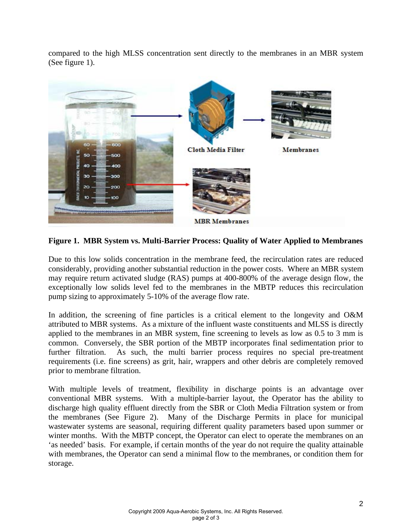compared to the high MLSS concentration sent directly to the membranes in an MBR system (See figure 1).



**Figure 1. MBR System vs. Multi-Barrier Process: Quality of Water Applied to Membranes** 

Due to this low solids concentration in the membrane feed, the recirculation rates are reduced considerably, providing another substantial reduction in the power costs. Where an MBR system may require return activated sludge (RAS) pumps at 400-800% of the average design flow, the exceptionally low solids level fed to the membranes in the MBTP reduces this recirculation pump sizing to approximately 5-10% of the average flow rate.

In addition, the screening of fine particles is a critical element to the longevity and O&M attributed to MBR systems. As a mixture of the influent waste constituents and MLSS is directly applied to the membranes in an MBR system, fine screening to levels as low as 0.5 to 3 mm is common. Conversely, the SBR portion of the MBTP incorporates final sedimentation prior to further filtration. As such, the multi barrier process requires no special pre-treatment requirements (i.e. fine screens) as grit, hair, wrappers and other debris are completely removed prior to membrane filtration.

With multiple levels of treatment, flexibility in discharge points is an advantage over conventional MBR systems. With a multiple-barrier layout, the Operator has the ability to discharge high quality effluent directly from the SBR or Cloth Media Filtration system or from the membranes (See Figure 2). Many of the Discharge Permits in place for municipal wastewater systems are seasonal, requiring different quality parameters based upon summer or winter months. With the MBTP concept, the Operator can elect to operate the membranes on an 'as needed' basis. For example, if certain months of the year do not require the quality attainable with membranes, the Operator can send a minimal flow to the membranes, or condition them for storage.